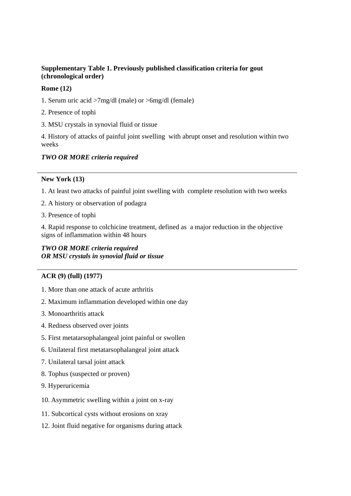### **Supplementary Table 1. Previously published classification criteria for gout (chronological order)**

#### **Rome (12)**

- 1. Serum uric acid >7mg/dl (male) or >6mg/dl (female)
- 2. Presence of tophi
- 3. MSU crystals in synovial fluid or tissue

4. History of attacks of painful joint swelling with abrupt onset and resolution within two weeks

# *TWO OR MORE criteria required*

### **New York (13)**

1. At least two attacks of painful joint swelling with complete resolution with two weeks

- 2. A history or observation of podagra
- 3. Presence of tophi

4. Rapid response to colchicine treatment, defined as a major reduction in the objective signs of inflammation within 48 hours

# *TWO OR MORE criteria required OR MSU crystals in synovial fluid or tissue*

# **ACR (9) (full) (1977)**

- 1. More than one attack of acute arthritis
- 2. Maximum inflammation developed within one day
- 3. Monoarthritis attack
- 4. Redness observed over joints
- 5. First metatarsophalangeal joint painful or swollen
- 6. Unilateral first metatarsophalangeal joint attack
- 7. Unilateral tarsal joint attack
- 8. Tophus (suspected or proven)
- 9. Hyperuricemia
- 10. Asymmetric swelling within a joint on x-ray
- 11. Subcortical cysts without erosions on xray
- 12. Joint fluid negative for organisms during attack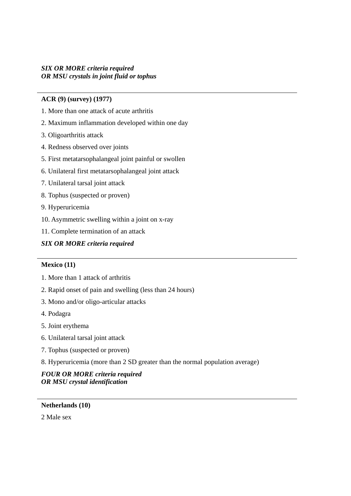## *SIX OR MORE criteria required OR MSU crystals in joint fluid or tophus*

## **ACR (9) (survey) (1977)**

- 1. More than one attack of acute arthritis
- 2. Maximum inflammation developed within one day
- 3. Oligoarthritis attack
- 4. Redness observed over joints
- 5. First metatarsophalangeal joint painful or swollen
- 6. Unilateral first metatarsophalangeal joint attack
- 7. Unilateral tarsal joint attack
- 8. Tophus (suspected or proven)
- 9. Hyperuricemia
- 10. Asymmetric swelling within a joint on x-ray
- 11. Complete termination of an attack

# *SIX OR MORE criteria required*

#### **Mexico (11)**

- 1. More than 1 attack of arthritis
- 2. Rapid onset of pain and swelling (less than 24 hours)
- 3. Mono and/or oligo-articular attacks
- 4. Podagra
- 5. Joint erythema
- 6. Unilateral tarsal joint attack
- 7. Tophus (suspected or proven)
- 8. Hyperuricemia (more than 2 SD greater than the normal population average)

# *FOUR OR MORE criteria required OR MSU crystal identification*

#### **Netherlands (10)**

2 Male sex